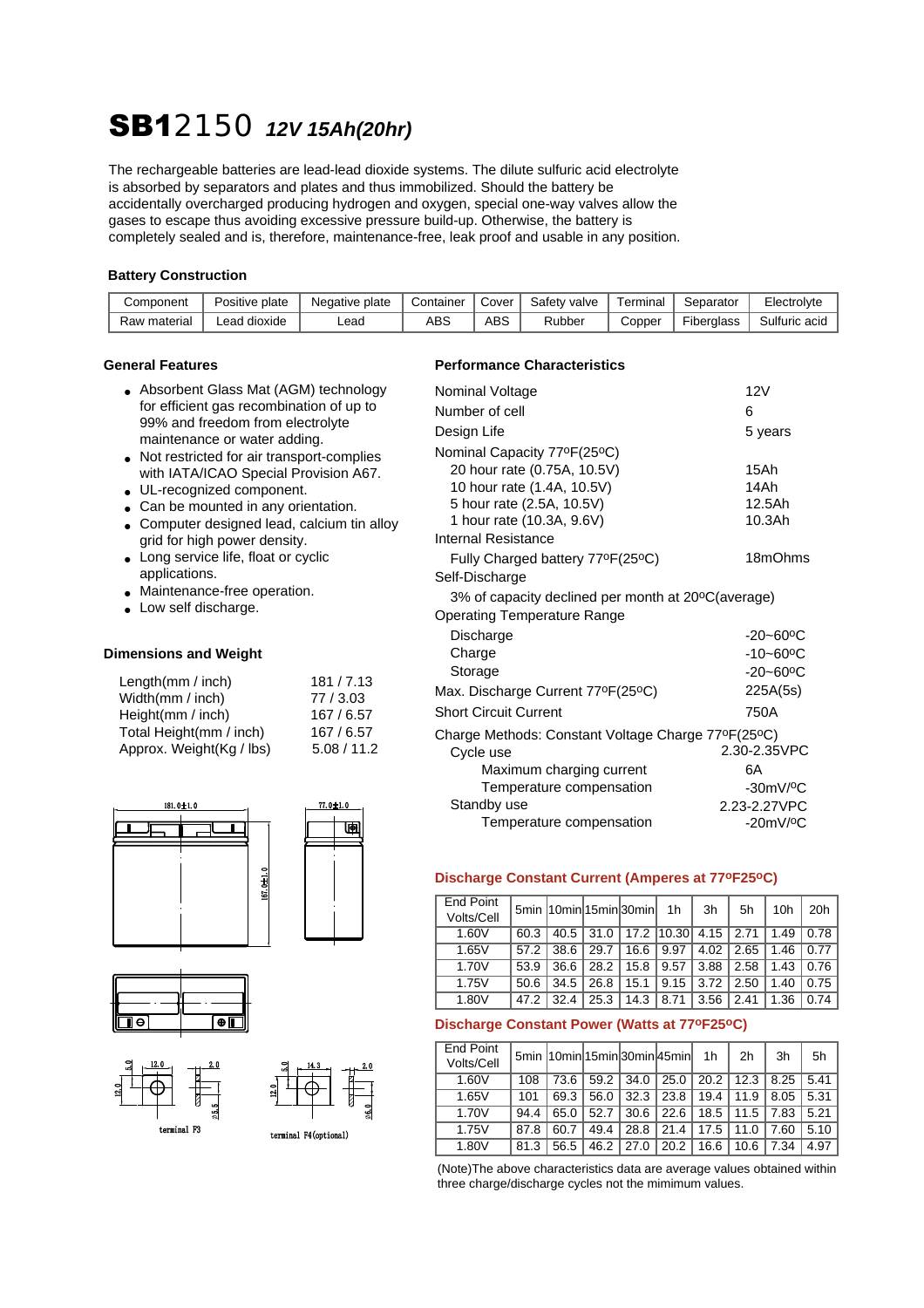# SB12150 *12V 15Ah(20hr)*

The rechargeable batteries are lead-lead dioxide systems. The dilute sulfuric acid electrolyte is absorbed by separators and plates and thus immobilized. Should the battery be accidentally overcharged producing hydrogen and oxygen, special one-way valves allow the gases to escape thus avoiding excessive pressure build-up. Otherwise, the battery is completely sealed and is, therefore, maintenance-free, leak proof and usable in any position.

#### **Battery Construction**

| Component    | Positive plate    | Negative plate | Container | Cover | Safety<br>' valve | ⊺erminal | Separator  | Electrol∨te   |
|--------------|-------------------|----------------|-----------|-------|-------------------|----------|------------|---------------|
| Raw material | l dioxide<br>∟ead | Lead           | ABS       | ABS   | Rubber            | Copper   | Fiberglass | Sulfuric acid |

- Absorbent Glass Mat (AGM) technology for efficient gas recombination of up to 99% and freedom from electrolyte maintenance or water adding.
- Not restricted for air transport-complies with IATA/ICAO Special Provision A67.
- UL-recognized component.
- Can be mounted in any orientation.
- Computer designed lead, calcium tin alloy grid for high power density.
- Long service life, float or cyclic applications.
- Maintenance-free operation.
- Low self discharge.

#### **Dimensions and Weight**

| Length $(mm / inch)$     | 181/7.13    |
|--------------------------|-------------|
| Width(mm / inch)         | 77/3.03     |
| Height $(mm / inch)$     | 167/6.57    |
| Total Height(mm / inch)  | 167/6.57    |
| Approx. Weight(Kg / lbs) | 5.08 / 11.2 |







### **General Features Characteristics Performance Characteristics**

| Nominal Voltage                                    | 12V                       |
|----------------------------------------------------|---------------------------|
| Number of cell                                     | 6                         |
|                                                    |                           |
| Design Life                                        | 5 years                   |
| Nominal Capacity 77ºF(25°C)                        |                           |
| 20 hour rate (0.75A, 10.5V)                        | 15Ah                      |
| 10 hour rate (1.4A, 10.5V)                         | 14Ah                      |
| 5 hour rate (2.5A, 10.5V)                          | 12.5Ah                    |
| 1 hour rate (10.3A, 9.6V)                          | 10.3Ah                    |
| Internal Resistance                                |                           |
| Fully Charged battery 77°F(25°C)                   | 18mOhms                   |
| Self-Discharge                                     |                           |
| 3% of capacity declined per month at 20°C(average) |                           |
| Operating Temperature Range                        |                           |
| Discharge                                          | $-20 - 60$ <sup>o</sup> C |
| Charge                                             | $-10 - 60$ <sup>o</sup> C |
| Storage                                            | $-20 - 60$ <sup>o</sup> C |
| Max. Discharge Current 77°F(25°C)                  | 225A(5s)                  |
| <b>Short Circuit Current</b>                       | 750A                      |
| Charge Methods: Constant Voltage Charge 77°F(25°C) |                           |
| Cycle use                                          | 2.30-2.35VPC              |
| Maximum charging current                           | 6A                        |
| Temperature compensation                           | $-30mV$ / $°C$            |
| Standby use                                        | 2.23-2.27VPC              |
| Temperature compensation                           | $-20mV$ / $\rm ^{o}C$     |

#### **Discharge Constant Current (Amperes at 77oF25oC)**

| End Point<br>Volts/Cell |      | 5min 10min 15min 30min |      |      | 1h         | 3h            | 5h   | 10 <sub>h</sub> | 20h  |
|-------------------------|------|------------------------|------|------|------------|---------------|------|-----------------|------|
| 1.60V                   | 60.3 | $40.5$                 | 31.0 |      | 17.2 10.30 | $4.15$   2.71 |      | 1.49            | 0.78 |
| 1.65V                   | 57.2 | 38.6                   | 29.7 | 16.6 | 9.97       | 4.02          | 2.65 | 1.46            | 0.77 |
| 1.70V                   | 53.9 | 36.6                   | 28.2 | 15.8 | 9.57       | 3.88          | 2.58 | 1.43            | 0.76 |
| 1.75V                   | 50.6 | 34.5                   | 26.8 | 15.1 | 9.15       | 3.72          | 2.50 | 1.40            | 0.75 |
| 1.80V                   | 47.2 | 32.4                   | 25.3 | 14.3 | 8.71       | 3.56          | 2.41 | 1.36            | 0.74 |

#### **Discharge Constant Power (Watts at 77oF25oC)**

| End Point<br>Volts/Cell |      | 5min 10min 15min 30min 45min 1h |      |               |      |      | 2 <sub>h</sub> | 3h   | 5h   |
|-------------------------|------|---------------------------------|------|---------------|------|------|----------------|------|------|
| 1.60V                   | 108  | 73.6                            | 59.2 | $34.0$        | 25.0 |      | $20.2$   12.3  | 8.25 | 5.41 |
| 1.65V                   | 101  | 69.3                            | 56.0 | 32.3          | 23.8 | 19.4 | 11.9           | 8.05 | 5.31 |
| 1.70V                   | 94.4 | 65.0                            | 52.7 | 30.6          | 22.6 |      | $18.5$   11.5  | 7.83 | 5.21 |
| 1.75V                   | 87.8 | 60.7                            | 49.4 | 28.8          | 21.4 | 17.5 | 11.0           | 7.60 | 5.10 |
| 1.80V                   | 81.3 | 56.5                            |      | $46.2$   27.0 | 20.2 | 16.6 | 10.6           | 7.34 | 4.97 |

(Note)The above characteristics data are average values obtained within three charge/discharge cycles not the mimimum values.